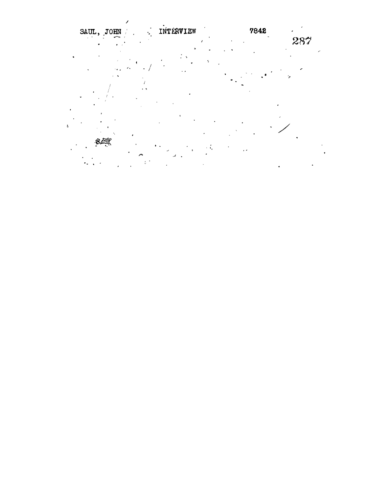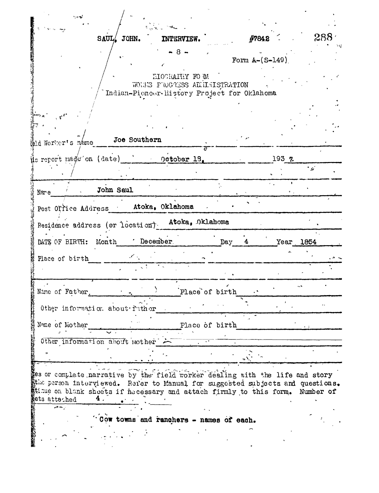| ∴≂ຈັ                            |              |                                                                                                                                                                                                                                               |                |                  |        |       |
|---------------------------------|--------------|-----------------------------------------------------------------------------------------------------------------------------------------------------------------------------------------------------------------------------------------------|----------------|------------------|--------|-------|
|                                 | $SAUL$ JOHN. | INTERVIEW.                                                                                                                                                                                                                                    |                | $#784.8$ .       |        | - 288 |
|                                 |              | $-8 -$                                                                                                                                                                                                                                        |                | Form $A-(S-149)$ |        |       |
|                                 |              | EIOCRAFHY FO W<br>WORRS PROGRESS ADMINISTRATION<br>Indian-Pionoer-History Project for Oklahoma                                                                                                                                                |                |                  |        |       |
|                                 |              |                                                                                                                                                                                                                                               |                |                  |        |       |
| eld Worker's name               | Joe Southern |                                                                                                                                                                                                                                               |                |                  |        |       |
|                                 |              | $\frac{1}{2}$ s report mage on (date) $\sim$ 00tober 13.                                                                                                                                                                                      |                |                  |        |       |
|                                 |              |                                                                                                                                                                                                                                               |                |                  | 193 7. | ند .  |
| Name                            | John Saul    |                                                                                                                                                                                                                                               |                |                  |        |       |
|                                 |              | Post Office Address Atoka, Oklahoma                                                                                                                                                                                                           |                |                  |        |       |
| DATE OF BIRTH: Month / December |              | Residence address (or location). Atoka, Oklahoma                                                                                                                                                                                              |                | Day 4 Year 1854  |        |       |
| Place of birth $\mathcal{L}$ .  |              |                                                                                                                                                                                                                                               |                |                  |        |       |
|                                 |              |                                                                                                                                                                                                                                               |                |                  |        |       |
| Name of Father.                 |              |                                                                                                                                                                                                                                               | Place of birth |                  |        |       |
| Other information about futher  |              |                                                                                                                                                                                                                                               |                |                  |        |       |
| Name of Mother                  |              |                                                                                                                                                                                                                                               | Place of birth |                  |        |       |
| Other information about mother  |              |                                                                                                                                                                                                                                               |                |                  |        |       |
| gets attached                   | 4.           | fes or complete narrative by the field worker dealing with the life and story<br>the person interviewed. Refer to Manual for suggested subjects and questions.<br>time on blank sheets if hecessary and attach firmly to this form. Number of |                |                  |        |       |

**MARTINE AND STATE**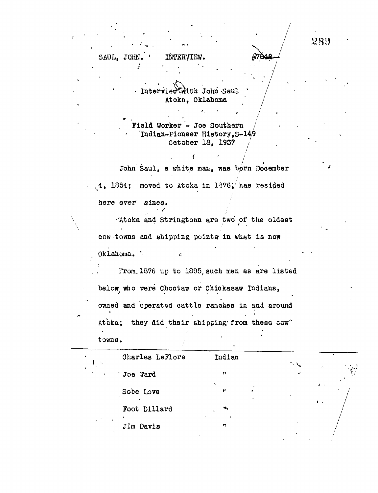#794.

## SAUL. JOHN. ' INTERVIEW.

· Interviet vith John Saul Atoka, Oklahoma

Field Worker - Joe Southern Indian-Pioneer History,S-14/9 October 18, 1937 /

 $\bullet$ .

John Saul, a white man, was born December  $, 4$ , 1854; moved to Atoka in 1376; has resided /

here ever since.

\ '"Atoka and Stringtovm are two of the oldest cow towns and shipping points in what is now cow towns and shipping points and shipping points  $\mathcal{L}_\mathbf{z}$ 

 $\mathcal{O}(\mathcal{O}_\mathcal{P})$  $\mathcal{F}_{\mathcal{F}}(t)$  is the 1005 up to 1095, such xmn as are listed as are listed as are listed as are listed as are listed as are listed as a set of  $\mathcal{F}_{\mathcal{F}}(t)$ owned and operated cuttle ranches in and around owned and the ranchester ranches in and around the cattle  $A$  they did they did they did they did they did they did they did they did they did their shipping- from the second

| $\epsilon_{\rm cr}$ | Charles LeFlore | Indian         |                 |                                       |
|---------------------|-----------------|----------------|-----------------|---------------------------------------|
|                     | Joe Ward        | 11             | رياسية الم<br>v | $\mathcal{L}^{\mathcal{I}}$<br>$\sim$ |
|                     | Sobe Love       | $^{\ast\ast}$  |                 |                                       |
|                     | Foot Dillard    | $\mathbf{m}_a$ |                 |                                       |
| ۰                   | Jim Davis       | 11             | $\sim$          |                                       |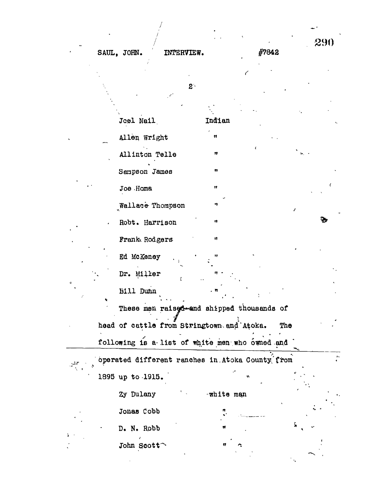| SAUL, JOHN.                                     | INTERVIEW.  | #7842 | 290 |
|-------------------------------------------------|-------------|-------|-----|
|                                                 |             |       |     |
|                                                 | $2^{\circ}$ |       |     |
|                                                 |             |       |     |
| Joel Nail                                       | Indian      |       |     |
| Allen Wright                                    | Ħ           |       |     |
| Allinton Telle                                  | 17          |       |     |
| Sampson James                                   | n           |       |     |
| Joe Homa                                        | n           |       |     |
| Wallace Thompson                                | 11          |       | ı   |
| Robt. Harrison                                  | 19          |       | ₩   |
| Frank Rodgers                                   | Ħ           |       |     |
| Ed McKeney                                      | 11          |       |     |
| Dr. Miller                                      |             |       |     |
| Bill Dunn                                       |             |       |     |
| These men raised-and shipped thousands of       |             |       |     |
| head of cattle from Stringtown and Atoka.       |             | The   |     |
| following is a list of white men who owned and  |             |       |     |
| operated different ranches in Atoka County from |             |       |     |
| 1895 up to 1915.                                |             |       |     |
| Zy Dulany                                       | -white man  |       |     |
| Jonas Cobb                                      |             |       |     |
| D. N. Robb                                      |             |       |     |
|                                                 |             |       |     |
| John Scott <sup>o</sup>                         |             |       |     |